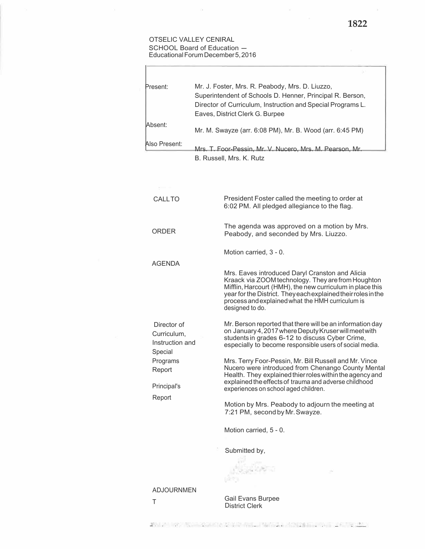## OTSELIC VALLEY CENIRAL SCHOOL Board of Education -EducationalForumDecember5,2016

ł.

 $\alpha$ 

| Present:                                                 | Mr. J. Foster, Mrs. R. Peabody, Mrs. D. Liuzzo,<br>Superintendent of Schools D. Henner, Principal R. Berson,<br>Director of Curriculum, Instruction and Special Programs L.<br>Eaves, District Clerk G. Burpee                                                                                             |
|----------------------------------------------------------|------------------------------------------------------------------------------------------------------------------------------------------------------------------------------------------------------------------------------------------------------------------------------------------------------------|
| Absent:                                                  | Mr. M. Swayze (arr. 6:08 PM), Mr. B. Wood (arr. 6:45 PM)                                                                                                                                                                                                                                                   |
| Also Present:                                            | Mrs. T. Foor-Pessin, Mr. V. Nucero, Mrs. M. Pearson, Mr.<br>B. Russell, Mrs. K. Rutz                                                                                                                                                                                                                       |
|                                                          |                                                                                                                                                                                                                                                                                                            |
| CALLTO                                                   | President Foster called the meeting to order at<br>6:02 PM. All pledged allegiance to the flag.                                                                                                                                                                                                            |
| ORDFR                                                    | The agenda was approved on a motion by Mrs.<br>Peabody, and seconded by Mrs. Liuzzo.                                                                                                                                                                                                                       |
| <b>AGENDA</b>                                            | Motion carried, 3 - 0.                                                                                                                                                                                                                                                                                     |
|                                                          | Mrs. Eaves introduced Daryl Cranston and Alicia<br>Kraack via ZOOM technology. They are from Houghton<br>Mifflin, Harcourt (HMH), the new curriculum in place this<br>year for the District. They each explained their roles in the<br>process and explained what the HMH curriculum is<br>designed to do. |
| Director of<br>Curriculum,<br>Instruction and<br>Special | Mr. Berson reported that there will be an information day<br>on January 4, 2017 where Deputy Kruser will meet with<br>students in grades 6-12 to discuss Cyber Crime,<br>especially to become responsible users of social media.                                                                           |
| Programs<br>Report                                       | Mrs. Terry Foor-Pessin, Mr. Bill Russell and Mr. Vince<br>Nucero were introduced from Chenango County Mental<br>Health. They explained thier roles within the agency and<br>explained the effects of trauma and adverse childhood                                                                          |
| Principal's<br>Report                                    | experiences on school aged children.<br>Motion by Mrs. Peabody to adjourn the meeting at<br>7:21 PM, second by Mr. Swayze.                                                                                                                                                                                 |
|                                                          | Motion carried, 5 - 0.                                                                                                                                                                                                                                                                                     |
|                                                          | Submitted by,                                                                                                                                                                                                                                                                                              |
|                                                          |                                                                                                                                                                                                                                                                                                            |
| <b>ADJOURNMEN</b><br>Τ                                   | Gail Evans Burpee<br>$Dichtch$ $CVert$                                                                                                                                                                                                                                                                     |

District Clerk